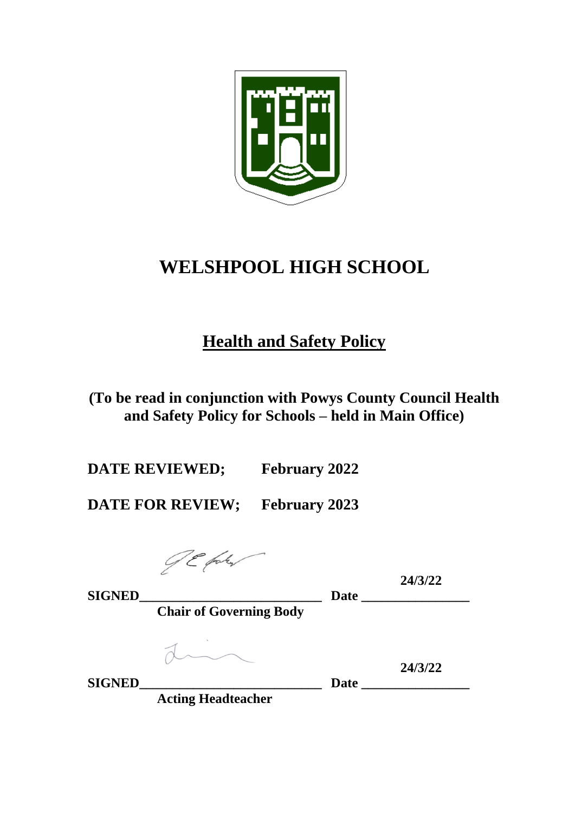

# **WELSHPOOL HIGH SCHOOL**

# **Health and Safety Policy**

**(To be read in conjunction with Powys County Council Health and Safety Policy for Schools – held in Main Office)**

**DATE REVIEWED; February 2022**

**DATE FOR REVIEW; February 2023**

JE faku

**SIGNED** 24.

**24/3/22**

**Chair of Governing Body**

**24/3/22 SIGNED\_\_\_\_\_\_\_\_\_\_\_\_\_\_\_\_\_\_\_\_\_\_\_\_\_\_\_ Date \_\_\_\_\_\_\_\_\_\_\_\_\_\_\_\_**

**Acting Headteacher**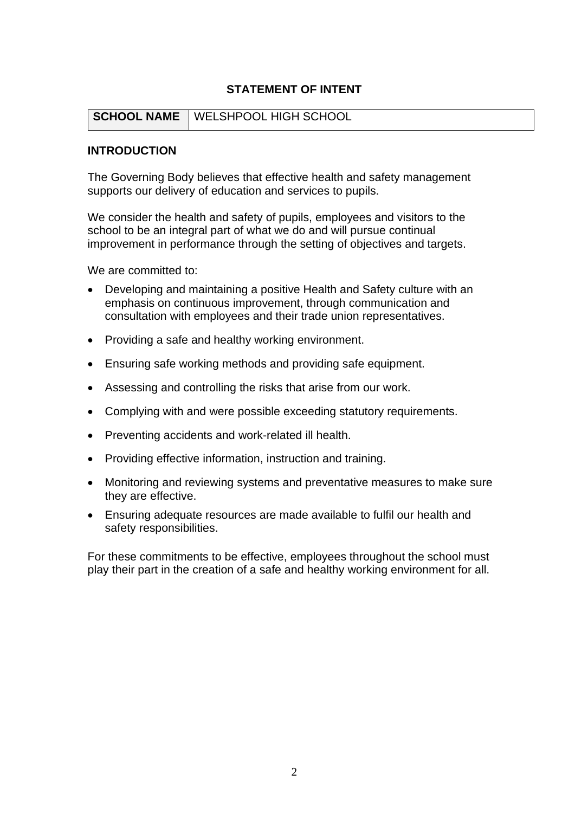#### **STATEMENT OF INTENT**

#### **SCHOOL NAME** WELSHPOOL HIGH SCHOOL

#### **INTRODUCTION**

The Governing Body believes that effective health and safety management supports our delivery of education and services to pupils.

We consider the health and safety of pupils, employees and visitors to the school to be an integral part of what we do and will pursue continual improvement in performance through the setting of objectives and targets.

We are committed to:

- Developing and maintaining a positive Health and Safety culture with an emphasis on continuous improvement, through communication and consultation with employees and their trade union representatives.
- Providing a safe and healthy working environment.
- Ensuring safe working methods and providing safe equipment.
- Assessing and controlling the risks that arise from our work.
- Complying with and were possible exceeding statutory requirements.
- Preventing accidents and work-related ill health.
- Providing effective information, instruction and training.
- Monitoring and reviewing systems and preventative measures to make sure they are effective.
- Ensuring adequate resources are made available to fulfil our health and safety responsibilities.

For these commitments to be effective, employees throughout the school must play their part in the creation of a safe and healthy working environment for all.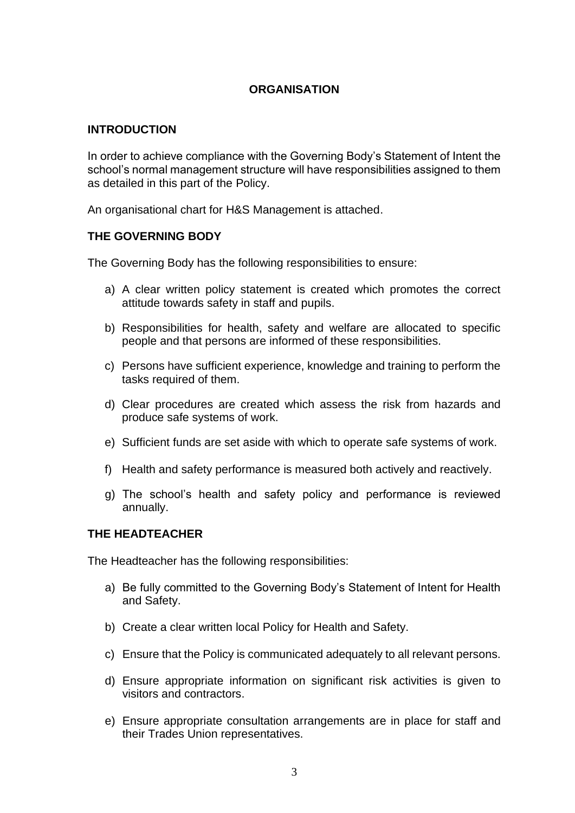#### **ORGANISATION**

#### **INTRODUCTION**

In order to achieve compliance with the Governing Body's Statement of Intent the school's normal management structure will have responsibilities assigned to them as detailed in this part of the Policy.

An organisational chart for H&S Management is attached.

#### **THE GOVERNING BODY**

The Governing Body has the following responsibilities to ensure:

- a) A clear written policy statement is created which promotes the correct attitude towards safety in staff and pupils.
- b) Responsibilities for health, safety and welfare are allocated to specific people and that persons are informed of these responsibilities.
- c) Persons have sufficient experience, knowledge and training to perform the tasks required of them.
- d) Clear procedures are created which assess the risk from hazards and produce safe systems of work.
- e) Sufficient funds are set aside with which to operate safe systems of work.
- f) Health and safety performance is measured both actively and reactively.
- g) The school's health and safety policy and performance is reviewed annually.

#### **THE HEADTEACHER**

The Headteacher has the following responsibilities:

- a) Be fully committed to the Governing Body's Statement of Intent for Health and Safety.
- b) Create a clear written local Policy for Health and Safety.
- c) Ensure that the Policy is communicated adequately to all relevant persons.
- d) Ensure appropriate information on significant risk activities is given to visitors and contractors.
- e) Ensure appropriate consultation arrangements are in place for staff and their Trades Union representatives.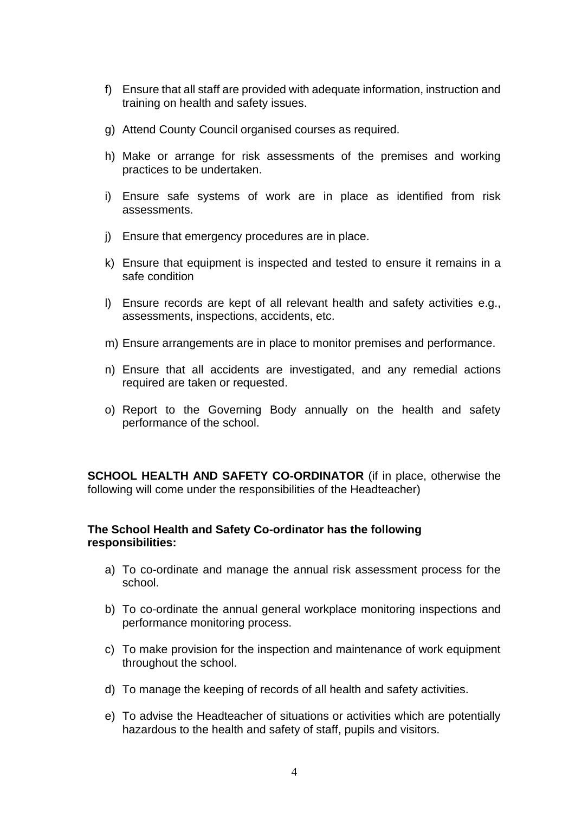- f) Ensure that all staff are provided with adequate information, instruction and training on health and safety issues.
- g) Attend County Council organised courses as required.
- h) Make or arrange for risk assessments of the premises and working practices to be undertaken.
- i) Ensure safe systems of work are in place as identified from risk assessments.
- j) Ensure that emergency procedures are in place.
- k) Ensure that equipment is inspected and tested to ensure it remains in a safe condition
- l) Ensure records are kept of all relevant health and safety activities e.g., assessments, inspections, accidents, etc.
- m) Ensure arrangements are in place to monitor premises and performance.
- n) Ensure that all accidents are investigated, and any remedial actions required are taken or requested.
- o) Report to the Governing Body annually on the health and safety performance of the school.

**SCHOOL HEALTH AND SAFETY CO-ORDINATOR** (if in place, otherwise the following will come under the responsibilities of the Headteacher)

#### **The School Health and Safety Co-ordinator has the following responsibilities:**

- a) To co-ordinate and manage the annual risk assessment process for the school.
- b) To co-ordinate the annual general workplace monitoring inspections and performance monitoring process.
- c) To make provision for the inspection and maintenance of work equipment throughout the school.
- d) To manage the keeping of records of all health and safety activities.
- e) To advise the Headteacher of situations or activities which are potentially hazardous to the health and safety of staff, pupils and visitors.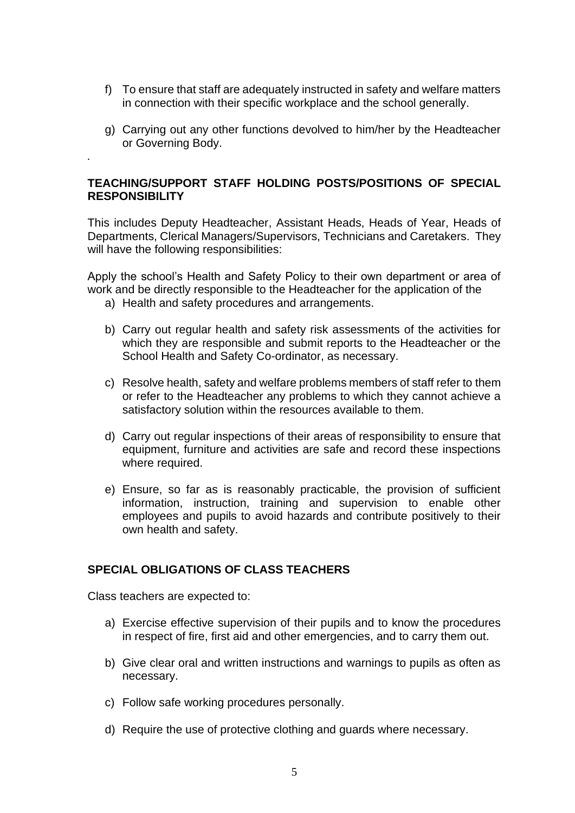- f) To ensure that staff are adequately instructed in safety and welfare matters in connection with their specific workplace and the school generally.
- g) Carrying out any other functions devolved to him/her by the Headteacher or Governing Body.

#### **TEACHING/SUPPORT STAFF HOLDING POSTS/POSITIONS OF SPECIAL RESPONSIBILITY**

This includes Deputy Headteacher, Assistant Heads, Heads of Year, Heads of Departments, Clerical Managers/Supervisors, Technicians and Caretakers. They will have the following responsibilities:

Apply the school's Health and Safety Policy to their own department or area of work and be directly responsible to the Headteacher for the application of the

- a) Health and safety procedures and arrangements.
- b) Carry out regular health and safety risk assessments of the activities for which they are responsible and submit reports to the Headteacher or the School Health and Safety Co-ordinator, as necessary.
- c) Resolve health, safety and welfare problems members of staff refer to them or refer to the Headteacher any problems to which they cannot achieve a satisfactory solution within the resources available to them.
- d) Carry out regular inspections of their areas of responsibility to ensure that equipment, furniture and activities are safe and record these inspections where required.
- e) Ensure, so far as is reasonably practicable, the provision of sufficient information, instruction, training and supervision to enable other employees and pupils to avoid hazards and contribute positively to their own health and safety.

#### **SPECIAL OBLIGATIONS OF CLASS TEACHERS**

Class teachers are expected to:

*.* 

- a) Exercise effective supervision of their pupils and to know the procedures in respect of fire, first aid and other emergencies, and to carry them out.
- b) Give clear oral and written instructions and warnings to pupils as often as necessary.
- c) Follow safe working procedures personally.
- d) Require the use of protective clothing and guards where necessary.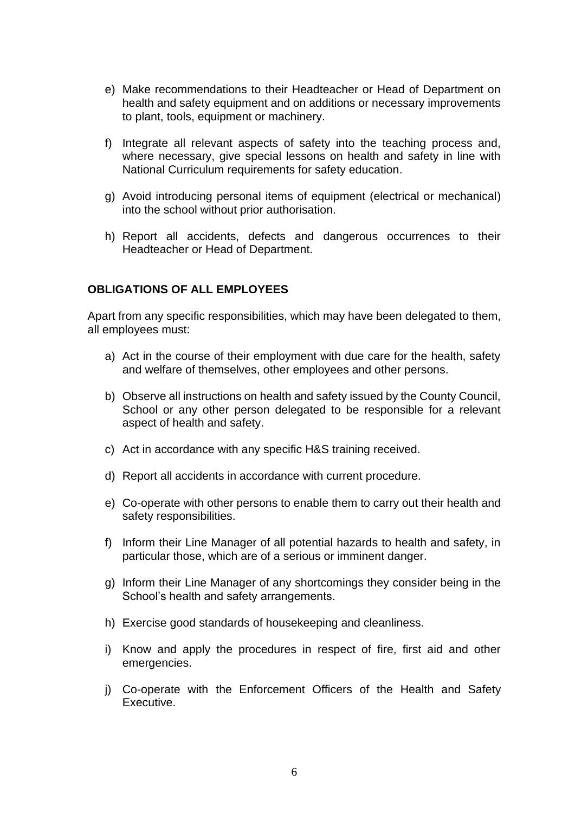- e) Make recommendations to their Headteacher or Head of Department on health and safety equipment and on additions or necessary improvements to plant, tools, equipment or machinery.
- f) Integrate all relevant aspects of safety into the teaching process and, where necessary, give special lessons on health and safety in line with National Curriculum requirements for safety education.
- g) Avoid introducing personal items of equipment (electrical or mechanical) into the school without prior authorisation.
- h) Report all accidents, defects and dangerous occurrences to their Headteacher or Head of Department.

#### **OBLIGATIONS OF ALL EMPLOYEES**

Apart from any specific responsibilities, which may have been delegated to them, all employees must:

- a) Act in the course of their employment with due care for the health, safety and welfare of themselves, other employees and other persons.
- b) Observe all instructions on health and safety issued by the County Council, School or any other person delegated to be responsible for a relevant aspect of health and safety.
- c) Act in accordance with any specific H&S training received.
- d) Report all accidents in accordance with current procedure.
- e) Co-operate with other persons to enable them to carry out their health and safety responsibilities.
- f) Inform their Line Manager of all potential hazards to health and safety, in particular those, which are of a serious or imminent danger.
- g) Inform their Line Manager of any shortcomings they consider being in the School's health and safety arrangements.
- h) Exercise good standards of housekeeping and cleanliness.
- i) Know and apply the procedures in respect of fire, first aid and other emergencies.
- j) Co-operate with the Enforcement Officers of the Health and Safety Executive.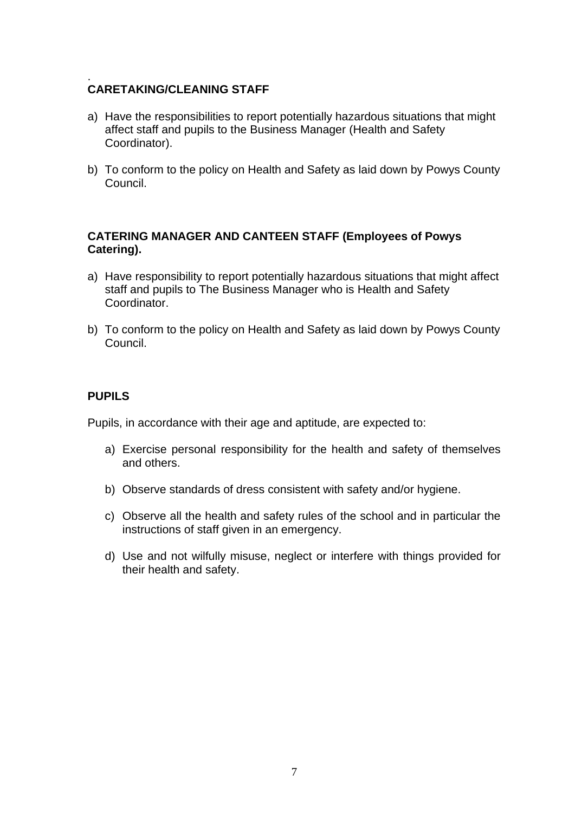#### . **CARETAKING/CLEANING STAFF**

- a) Have the responsibilities to report potentially hazardous situations that might affect staff and pupils to the Business Manager (Health and Safety Coordinator).
- b) To conform to the policy on Health and Safety as laid down by Powys County Council.

#### **CATERING MANAGER AND CANTEEN STAFF (Employees of Powys Catering).**

- a) Have responsibility to report potentially hazardous situations that might affect staff and pupils to The Business Manager who is Health and Safety Coordinator.
- b) To conform to the policy on Health and Safety as laid down by Powys County Council.

#### **PUPILS**

Pupils, in accordance with their age and aptitude, are expected to:

- a) Exercise personal responsibility for the health and safety of themselves and others.
- b) Observe standards of dress consistent with safety and/or hygiene.
- c) Observe all the health and safety rules of the school and in particular the instructions of staff given in an emergency.
- d) Use and not wilfully misuse, neglect or interfere with things provided for their health and safety.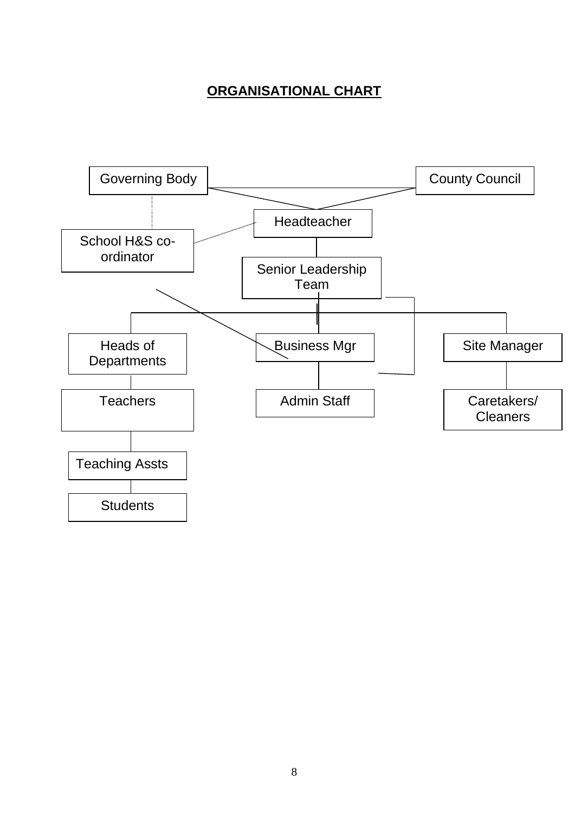# **ORGANISATIONAL CHART**

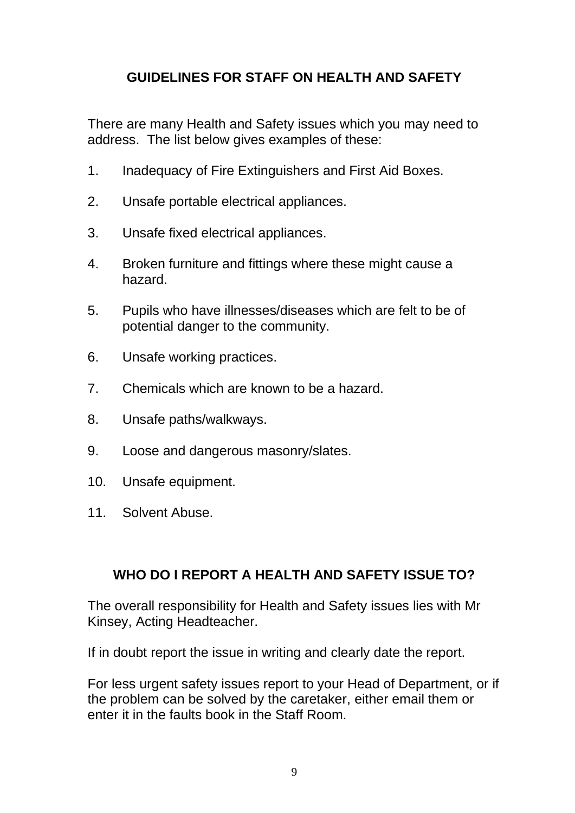# **GUIDELINES FOR STAFF ON HEALTH AND SAFETY**

There are many Health and Safety issues which you may need to address. The list below gives examples of these:

- 1. Inadequacy of Fire Extinguishers and First Aid Boxes.
- 2. Unsafe portable electrical appliances.
- 3. Unsafe fixed electrical appliances.
- 4. Broken furniture and fittings where these might cause a hazard.
- 5. Pupils who have illnesses/diseases which are felt to be of potential danger to the community.
- 6. Unsafe working practices.
- 7. Chemicals which are known to be a hazard.
- 8. Unsafe paths/walkways.
- 9. Loose and dangerous masonry/slates.
- 10. Unsafe equipment.
- 11. Solvent Abuse.

# **WHO DO I REPORT A HEALTH AND SAFETY ISSUE TO?**

The overall responsibility for Health and Safety issues lies with Mr Kinsey, Acting Headteacher.

If in doubt report the issue in writing and clearly date the report.

For less urgent safety issues report to your Head of Department, or if the problem can be solved by the caretaker, either email them or enter it in the faults book in the Staff Room.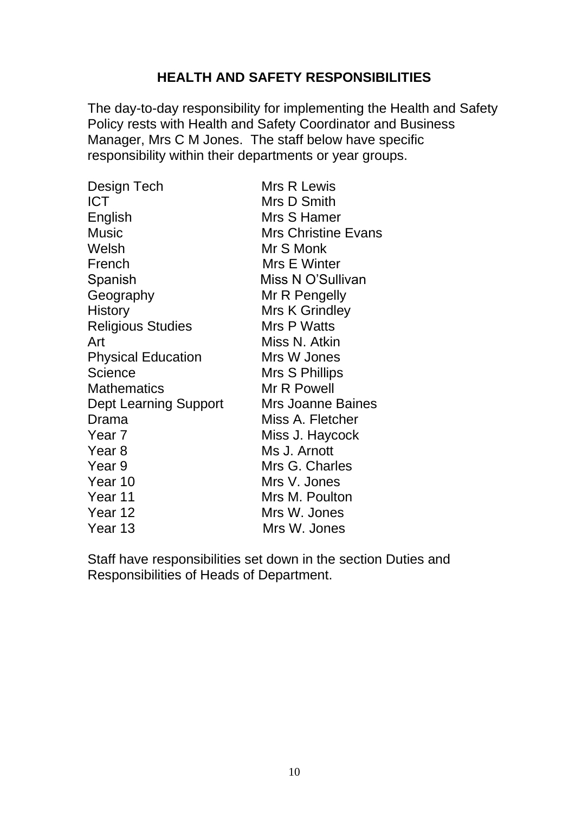# **HEALTH AND SAFETY RESPONSIBILITIES**

The day-to-day responsibility for implementing the Health and Safety Policy rests with Health and Safety Coordinator and Business Manager, Mrs C M Jones. The staff below have specific responsibility within their departments or year groups.

| Design Tech                  | Mrs R Lewis                |
|------------------------------|----------------------------|
| <b>ICT</b>                   | Mrs D Smith                |
| English                      | Mrs S Hamer                |
| <b>Music</b>                 | <b>Mrs Christine Evans</b> |
| Welsh                        | Mr S Monk                  |
| French                       | Mrs E Winter               |
| Spanish                      | Miss N O'Sullivan          |
| Geography                    | Mr R Pengelly              |
| <b>History</b>               | Mrs K Grindley             |
| <b>Religious Studies</b>     | Mrs P Watts                |
| Art                          | Miss N. Atkin              |
| <b>Physical Education</b>    | Mrs W Jones                |
| <b>Science</b>               | Mrs S Phillips             |
| <b>Mathematics</b>           | Mr R Powell                |
| <b>Dept Learning Support</b> | Mrs Joanne Baines          |
| Drama                        | Miss A. Fletcher           |
| Year <sub>7</sub>            | Miss J. Haycock            |
| Year <sub>8</sub>            | Ms J. Arnott               |
| Year 9                       | Mrs G. Charles             |
| Year 10                      | Mrs V. Jones               |
| Year 11                      | Mrs M. Poulton             |
| Year 12                      | Mrs W. Jones               |
| Year 13                      | Mrs W. Jones               |

Staff have responsibilities set down in the section Duties and Responsibilities of Heads of Department.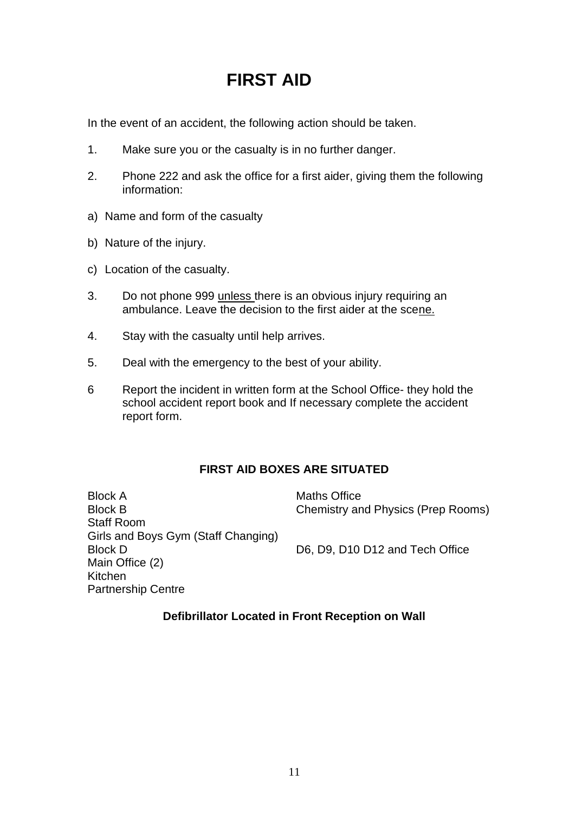# **FIRST AID**

In the event of an accident, the following action should be taken.

- 1. Make sure you or the casualty is in no further danger.
- 2. Phone 222 and ask the office for a first aider, giving them the following information:
- a) Name and form of the casualty
- b) Nature of the injury.
- c) Location of the casualty.
- 3. Do not phone 999 unless there is an obvious injury requiring an ambulance. Leave the decision to the first aider at the scene.
- 4. Stay with the casualty until help arrives.
- 5. Deal with the emergency to the best of your ability.
- 6 Report the incident in written form at the School Office- they hold the school accident report book and If necessary complete the accident report form.

### **FIRST AID BOXES ARE SITUATED**

Block A Maths Office Block B Chemistry and Physics (Prep Rooms) Staff Room Girls and Boys Gym (Staff Changing) Block D D6, D9, D10 D12 and Tech Office Main Office (2) Kitchen Partnership Centre

#### **Defibrillator Located in Front Reception on Wall**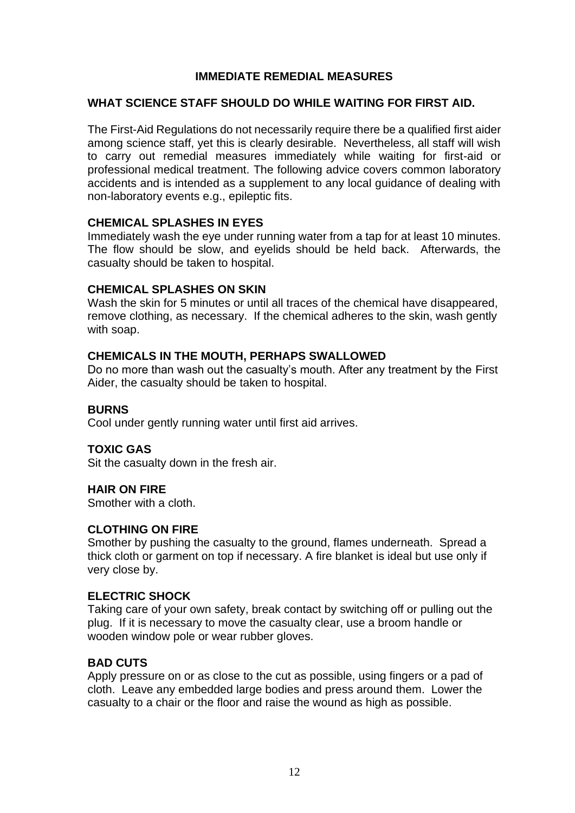#### **IMMEDIATE REMEDIAL MEASURES**

#### **WHAT SCIENCE STAFF SHOULD DO WHILE WAITING FOR FIRST AID.**

The First-Aid Regulations do not necessarily require there be a qualified first aider among science staff, yet this is clearly desirable. Nevertheless, all staff will wish to carry out remedial measures immediately while waiting for first-aid or professional medical treatment. The following advice covers common laboratory accidents and is intended as a supplement to any local guidance of dealing with non-laboratory events e.g., epileptic fits.

#### **CHEMICAL SPLASHES IN EYES**

Immediately wash the eye under running water from a tap for at least 10 minutes. The flow should be slow, and eyelids should be held back. Afterwards, the casualty should be taken to hospital.

#### **CHEMICAL SPLASHES ON SKIN**

Wash the skin for 5 minutes or until all traces of the chemical have disappeared, remove clothing, as necessary. If the chemical adheres to the skin, wash gently with soap.

#### **CHEMICALS IN THE MOUTH, PERHAPS SWALLOWED**

Do no more than wash out the casualty's mouth. After any treatment by the First Aider, the casualty should be taken to hospital.

#### **BURNS**

Cool under gently running water until first aid arrives.

#### **TOXIC GAS**

Sit the casualty down in the fresh air.

#### **HAIR ON FIRE**

Smother with a cloth.

#### **CLOTHING ON FIRE**

Smother by pushing the casualty to the ground, flames underneath. Spread a thick cloth or garment on top if necessary. A fire blanket is ideal but use only if very close by.

#### **ELECTRIC SHOCK**

Taking care of your own safety, break contact by switching off or pulling out the plug. If it is necessary to move the casualty clear, use a broom handle or wooden window pole or wear rubber gloves.

#### **BAD CUTS**

Apply pressure on or as close to the cut as possible, using fingers or a pad of cloth. Leave any embedded large bodies and press around them. Lower the casualty to a chair or the floor and raise the wound as high as possible.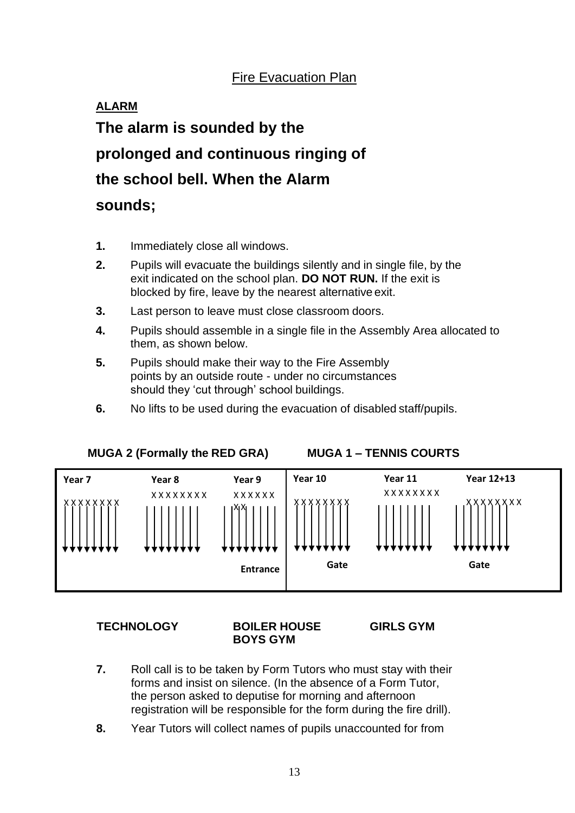# Fire Evacuation Plan

# **ALARM The alarm is sounded by the prolonged and continuous ringing of the school bell. When the Alarm sounds;**

- **1.** Immediately close all windows.
- **2.** Pupils will evacuate the buildings silently and in single file, by the exit indicated on the school plan. **DO NOT RUN.** If the exit is blocked by fire, leave by the nearest alternative exit.
- **3.** Last person to leave must close classroom doors.
- **4.** Pupils should assemble in a single file in the Assembly Area allocated to them, as shown below.
- **5.** Pupils should make their way to the Fire Assembly points by an outside route - under no circumstances should they 'cut through' school buildings.
- **6.** No lifts to be used during the evacuation of disabled staff/pupils.



#### **MUGA 2 (Formally the RED GRA) MUGA 1 – TENNIS COURTS**

#### **TECHNOLOGY BOILER HOUSE GIRLS GYM BOYS GYM**

- **7.** Roll call is to be taken by Form Tutors who must stay with their forms and insist on silence. (In the absence of a Form Tutor, the person asked to deputise for morning and afternoon registration will be responsible for the form during the fire drill).
- **8.** Year Tutors will collect names of pupils unaccounted for from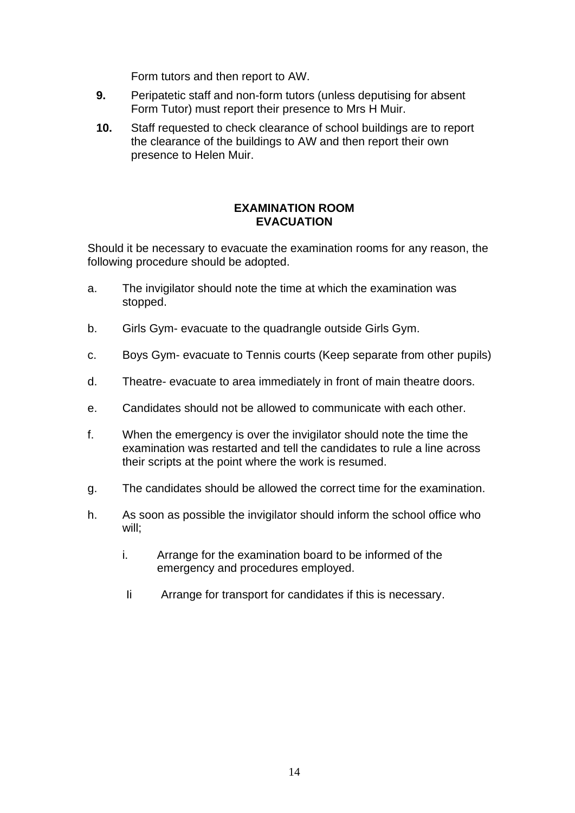Form tutors and then report to AW.

- **9.** Peripatetic staff and non-form tutors (unless deputising for absent Form Tutor) must report their presence to Mrs H Muir.
- **10.** Staff requested to check clearance of school buildings are to report the clearance of the buildings to AW and then report their own presence to Helen Muir.

#### **EXAMINATION ROOM EVACUATION**

Should it be necessary to evacuate the examination rooms for any reason, the following procedure should be adopted.

- a. The invigilator should note the time at which the examination was stopped.
- b. Girls Gym- evacuate to the quadrangle outside Girls Gym.
- c. Boys Gym- evacuate to Tennis courts (Keep separate from other pupils)
- d. Theatre- evacuate to area immediately in front of main theatre doors.
- e. Candidates should not be allowed to communicate with each other.
- f. When the emergency is over the invigilator should note the time the examination was restarted and tell the candidates to rule a line across their scripts at the point where the work is resumed.
- g. The candidates should be allowed the correct time for the examination.
- h. As soon as possible the invigilator should inform the school office who will;
	- i. Arrange for the examination board to be informed of the emergency and procedures employed.
	- Ii Arrange for transport for candidates if this is necessary.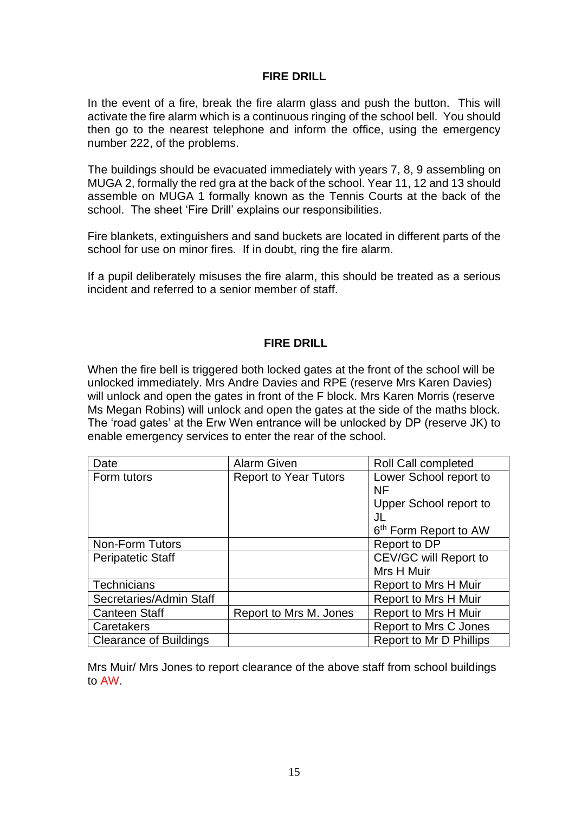#### **FIRE DRILL**

In the event of a fire, break the fire alarm glass and push the button. This will activate the fire alarm which is a continuous ringing of the school bell. You should then go to the nearest telephone and inform the office, using the emergency number 222, of the problems.

The buildings should be evacuated immediately with years 7, 8, 9 assembling on MUGA 2, formally the red gra at the back of the school. Year 11, 12 and 13 should assemble on MUGA 1 formally known as the Tennis Courts at the back of the school. The sheet 'Fire Drill' explains our responsibilities.

Fire blankets, extinguishers and sand buckets are located in different parts of the school for use on minor fires. If in doubt, ring the fire alarm.

If a pupil deliberately misuses the fire alarm, this should be treated as a serious incident and referred to a senior member of staff.

#### **FIRE DRILL**

When the fire bell is triggered both locked gates at the front of the school will be unlocked immediately. Mrs Andre Davies and RPE (reserve Mrs Karen Davies) will unlock and open the gates in front of the F block. Mrs Karen Morris (reserve Ms Megan Robins) will unlock and open the gates at the side of the maths block. The 'road gates' at the Erw Wen entrance will be unlocked by DP (reserve JK) to enable emergency services to enter the rear of the school.

| Date                          | <b>Alarm Given</b>           | <b>Roll Call completed</b>        |  |
|-------------------------------|------------------------------|-----------------------------------|--|
| Form tutors                   | <b>Report to Year Tutors</b> | Lower School report to            |  |
|                               |                              | NF                                |  |
|                               |                              | Upper School report to            |  |
|                               |                              | JL                                |  |
|                               |                              | 6 <sup>th</sup> Form Report to AW |  |
| <b>Non-Form Tutors</b>        |                              | Report to DP                      |  |
| <b>Peripatetic Staff</b>      |                              | CEV/GC will Report to             |  |
|                               |                              | Mrs H Muir                        |  |
| <b>Technicians</b>            |                              | Report to Mrs H Muir              |  |
| Secretaries/Admin Staff       |                              | <b>Report to Mrs H Muir</b>       |  |
| <b>Canteen Staff</b>          | Report to Mrs M. Jones       | <b>Report to Mrs H Muir</b>       |  |
| Caretakers                    |                              | Report to Mrs C Jones             |  |
| <b>Clearance of Buildings</b> |                              | Report to Mr D Phillips           |  |

Mrs Muir/ Mrs Jones to report clearance of the above staff from school buildings to AW.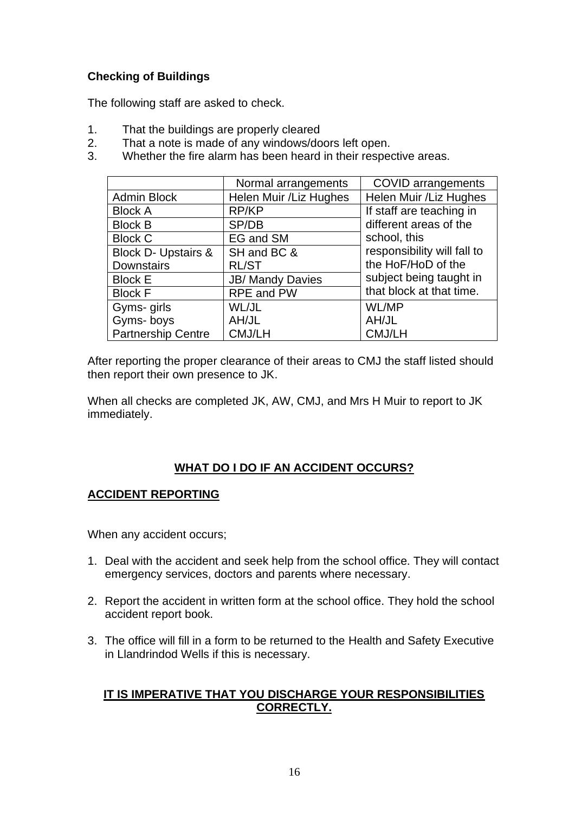## **Checking of Buildings**

The following staff are asked to check.

- 1. That the buildings are properly cleared
- 2. That a note is made of any windows/doors left open.<br>3. Whether the fire alarm has been heard in their respection
- Whether the fire alarm has been heard in their respective areas.

|                                | Normal arrangements     | <b>COVID</b> arrangements                     |  |
|--------------------------------|-------------------------|-----------------------------------------------|--|
| <b>Admin Block</b>             | Helen Muir / Liz Hughes | Helen Muir / Liz Hughes                       |  |
| <b>Block A</b>                 | RP/KP                   | If staff are teaching in                      |  |
| <b>Block B</b>                 | SP/DB                   | different areas of the                        |  |
| <b>Block C</b>                 | EG and SM               | school, this<br>responsibility will fall to   |  |
| <b>Block D- Upstairs &amp;</b> | SH and BC &             |                                               |  |
| <b>Downstairs</b>              | <b>RL/ST</b>            | the HoF/HoD of the<br>subject being taught in |  |
| <b>Block E</b>                 | <b>JB/ Mandy Davies</b> |                                               |  |
| <b>Block F</b>                 | <b>RPE and PW</b>       | that block at that time.                      |  |
| Gyms- girls                    | WL/JL                   | <b>WL/MP</b>                                  |  |
| Gyms-boys                      | AH/JL                   | AH/JL                                         |  |
| <b>Partnership Centre</b>      | CMJ/LH                  | CMJ/LH                                        |  |

After reporting the proper clearance of their areas to CMJ the staff listed should then report their own presence to JK.

When all checks are completed JK, AW, CMJ, and Mrs H Muir to report to JK immediately.

### **WHAT DO I DO IF AN ACCIDENT OCCURS?**

### **ACCIDENT REPORTING**

When any accident occurs;

- 1. Deal with the accident and seek help from the school office. They will contact emergency services, doctors and parents where necessary.
- 2. Report the accident in written form at the school office. They hold the school accident report book.
- 3. The office will fill in a form to be returned to the Health and Safety Executive in Llandrindod Wells if this is necessary.

#### **IT IS IMPERATIVE THAT YOU DISCHARGE YOUR RESPONSIBILITIES CORRECTLY.**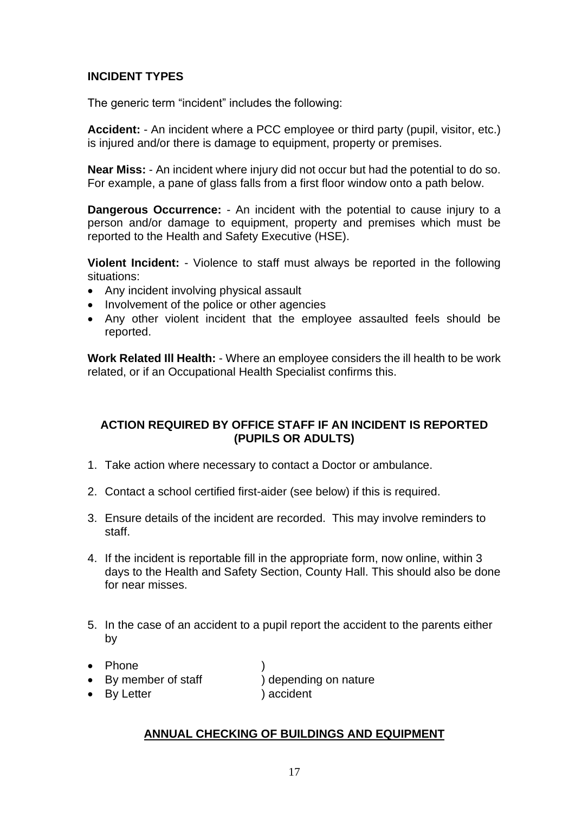#### **INCIDENT TYPES**

The generic term "incident" includes the following:

**Accident:** - An incident where a PCC employee or third party (pupil, visitor, etc.) is injured and/or there is damage to equipment, property or premises.

**Near Miss:** - An incident where injury did not occur but had the potential to do so. For example, a pane of glass falls from a first floor window onto a path below.

**Dangerous Occurrence:** - An incident with the potential to cause injury to a person and/or damage to equipment, property and premises which must be reported to the Health and Safety Executive (HSE).

**Violent Incident:** - Violence to staff must always be reported in the following situations:

- Any incident involving physical assault
- Involvement of the police or other agencies
- Any other violent incident that the employee assaulted feels should be reported.

**Work Related Ill Health:** - Where an employee considers the ill health to be work related, or if an Occupational Health Specialist confirms this.

#### **ACTION REQUIRED BY OFFICE STAFF IF AN INCIDENT IS REPORTED (PUPILS OR ADULTS)**

- 1. Take action where necessary to contact a Doctor or ambulance.
- 2. Contact a school certified first-aider (see below) if this is required.
- 3. Ensure details of the incident are recorded. This may involve reminders to staff.
- 4. If the incident is reportable fill in the appropriate form, now online, within 3 days to the Health and Safety Section, County Hall. This should also be done for near misses.
- 5. In the case of an accident to a pupil report the accident to the parents either by
- Phone
- By member of staff (a) depending on nature
- By Letter ) accident

#### **ANNUAL CHECKING OF BUILDINGS AND EQUIPMENT**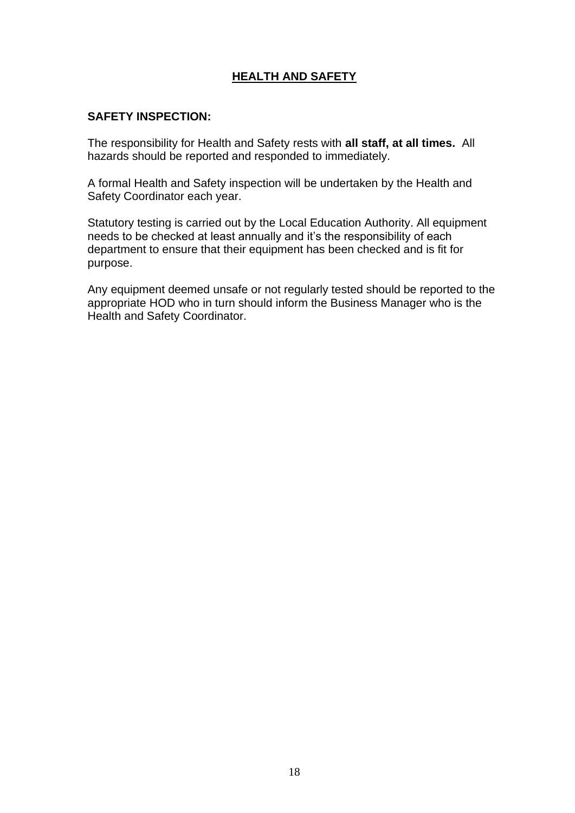## **HEALTH AND SAFETY**

### **SAFETY INSPECTION:**

The responsibility for Health and Safety rests with **all staff, at all times.** All hazards should be reported and responded to immediately.

A formal Health and Safety inspection will be undertaken by the Health and Safety Coordinator each year.

Statutory testing is carried out by the Local Education Authority. All equipment needs to be checked at least annually and it's the responsibility of each department to ensure that their equipment has been checked and is fit for purpose.

Any equipment deemed unsafe or not regularly tested should be reported to the appropriate HOD who in turn should inform the Business Manager who is the Health and Safety Coordinator.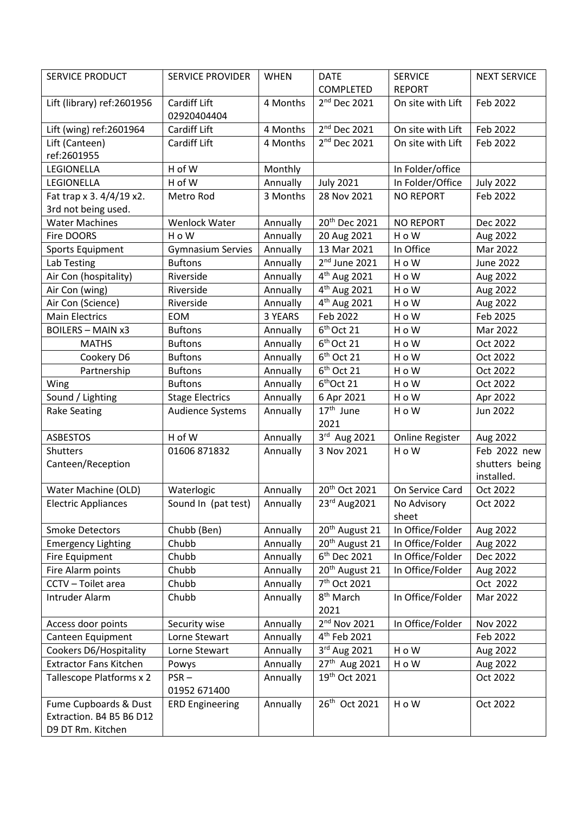| <b>SERVICE PRODUCT</b>                  | <b>SERVICE PROVIDER</b>        | <b>WHEN</b>          | <b>DATE</b>                   | <b>SERVICE</b>         | <b>NEXT SERVICE</b>         |
|-----------------------------------------|--------------------------------|----------------------|-------------------------------|------------------------|-----------------------------|
|                                         |                                |                      | COMPLETED                     | <b>REPORT</b>          |                             |
| Lift (library) ref:2601956              | Cardiff Lift                   | 4 Months             | 2 <sup>nd</sup> Dec 2021      | On site with Lift      | Feb 2022                    |
|                                         | 02920404404                    |                      |                               |                        |                             |
| Lift (wing) ref:2601964                 | Cardiff Lift                   | 4 Months             | 2 <sup>nd</sup> Dec 2021      | On site with Lift      | Feb 2022                    |
| Lift (Canteen)                          | Cardiff Lift                   | 4 Months             | 2 <sup>nd</sup> Dec 2021      | On site with Lift      | Feb 2022                    |
| ref:2601955                             |                                |                      |                               |                        |                             |
| LEGIONELLA                              | H of W                         | Monthly              |                               | In Folder/office       |                             |
| LEGIONELLA                              | H of W                         | Annually             | <b>July 2021</b>              | In Folder/Office       | <b>July 2022</b>            |
| Fat trap x 3. 4/4/19 x2.                | Metro Rod                      | 3 Months             | 28 Nov 2021                   | <b>NO REPORT</b>       | Feb 2022                    |
| 3rd not being used.                     |                                |                      |                               |                        |                             |
| <b>Water Machines</b>                   | Wenlock Water                  | Annually             | 20 <sup>th</sup> Dec 2021     | <b>NO REPORT</b>       | Dec 2022                    |
| Fire DOORS                              | H o W                          | Annually             | 20 Aug 2021                   | H o W                  | Aug 2022                    |
| Sports Equipment                        | <b>Gymnasium Servies</b>       | Annually             | 13 Mar 2021                   | In Office              | Mar 2022                    |
| Lab Testing                             | <b>Buftons</b>                 | Annually             | $2nd$ June 2021               | H o W                  | <b>June 2022</b>            |
| Air Con (hospitality)                   | Riverside                      | Annually             | 4 <sup>th</sup> Aug 2021      | H o W                  | Aug 2022                    |
| Air Con (wing)                          | Riverside                      | Annually             | 4 <sup>th</sup> Aug 2021      | H o W                  | Aug 2022                    |
| Air Con (Science)                       | Riverside                      | Annually             | 4 <sup>th</sup> Aug 2021      | H o W                  | Aug 2022                    |
| <b>Main Electrics</b>                   | <b>EOM</b>                     | 3 YEARS              | Feb 2022                      | H o W                  | Feb 2025                    |
| <b>BOILERS - MAIN x3</b>                | <b>Buftons</b>                 | Annually             | $6th$ Oct 21                  | H o W                  | Mar 2022                    |
| <b>MATHS</b>                            | <b>Buftons</b>                 | Annually             | 6 <sup>th</sup> Oct 21        | H o W                  | Oct 2022                    |
| Cookery D6                              | <b>Buftons</b>                 | Annually             | 6 <sup>th</sup> Oct 21        | H o W                  | Oct 2022                    |
| Partnership                             | <b>Buftons</b>                 | Annually             | 6 <sup>th</sup> Oct 21        | H o W                  | Oct 2022                    |
| Wing                                    | <b>Buftons</b>                 | Annually             | 6 <sup>th</sup> Oct 21        | H o W                  | Oct 2022                    |
| Sound / Lighting                        | <b>Stage Electrics</b>         | Annually             | 6 Apr 2021                    | H o W                  | Apr 2022                    |
| <b>Rake Seating</b>                     | Audience Systems               | Annually             | $17th$ June                   | H o W                  | Jun 2022                    |
|                                         |                                |                      | 2021                          |                        |                             |
| <b>ASBESTOS</b>                         | H of W                         | Annually             | 3rd Aug 2021                  | <b>Online Register</b> | Aug 2022                    |
| Shutters                                | 01606 871832                   | Annually             | 3 Nov 2021                    | H o W                  | Feb 2022 new                |
| Canteen/Reception                       |                                |                      |                               |                        | shutters being              |
|                                         |                                |                      |                               |                        | installed.                  |
| Water Machine (OLD)                     | Waterlogic                     | Annually             | 20 <sup>th</sup> Oct 2021     | On Service Card        | Oct 2022                    |
| <b>Electric Appliances</b>              | Sound In (pat test)   Annually |                      | $\overline{23^{rd}}$ Aug2021  | No Advisory            | Oct 2022                    |
|                                         |                                |                      |                               | sheet                  |                             |
| <b>Smoke Detectors</b>                  | Chubb (Ben)                    | Annually             | 20 <sup>th</sup> August 21    | In Office/Folder       | Aug 2022                    |
| <b>Emergency Lighting</b>               | Chubb                          | Annually             | 20 <sup>th</sup> August 21    | In Office/Folder       | Aug 2022                    |
| <b>Fire Equipment</b>                   | Chubb                          | Annually             | 6 <sup>th</sup> Dec 2021      | In Office/Folder       | Dec 2022                    |
| Fire Alarm points                       | Chubb                          | Annually             | 20 <sup>th</sup> August 21    | In Office/Folder       | Aug 2022                    |
| CCTV - Toilet area<br>Intruder Alarm    | Chubb                          | Annually             | 7 <sup>th</sup> Oct 2021      |                        | Oct 2022<br>Mar 2022        |
|                                         | Chubb                          | Annually             | 8 <sup>th</sup> March<br>2021 | In Office/Folder       |                             |
|                                         |                                |                      | 2 <sup>nd</sup> Nov 2021      | In Office/Folder       |                             |
| Access door points<br>Canteen Equipment | Security wise<br>Lorne Stewart | Annually<br>Annually | 4 <sup>th</sup> Feb 2021      |                        | <b>Nov 2022</b><br>Feb 2022 |
| Cookers D6/Hospitality                  | Lorne Stewart                  | Annually             | 3rd Aug 2021                  | H o W                  | Aug 2022                    |
| <b>Extractor Fans Kitchen</b>           |                                |                      | 27 <sup>th</sup> Aug 2021     | H o W                  |                             |
| Tallescope Platforms x 2                | Powys<br>$PSR -$               | Annually<br>Annually | 19th Oct 2021                 |                        | Aug 2022<br>Oct 2022        |
|                                         | 01952 671400                   |                      |                               |                        |                             |
| Fume Cupboards & Dust                   | <b>ERD Engineering</b>         | Annually             | 26 <sup>th</sup> Oct 2021     | H o W                  | Oct 2022                    |
| Extraction. B4 B5 B6 D12                |                                |                      |                               |                        |                             |
| D9 DT Rm. Kitchen                       |                                |                      |                               |                        |                             |
|                                         |                                |                      |                               |                        |                             |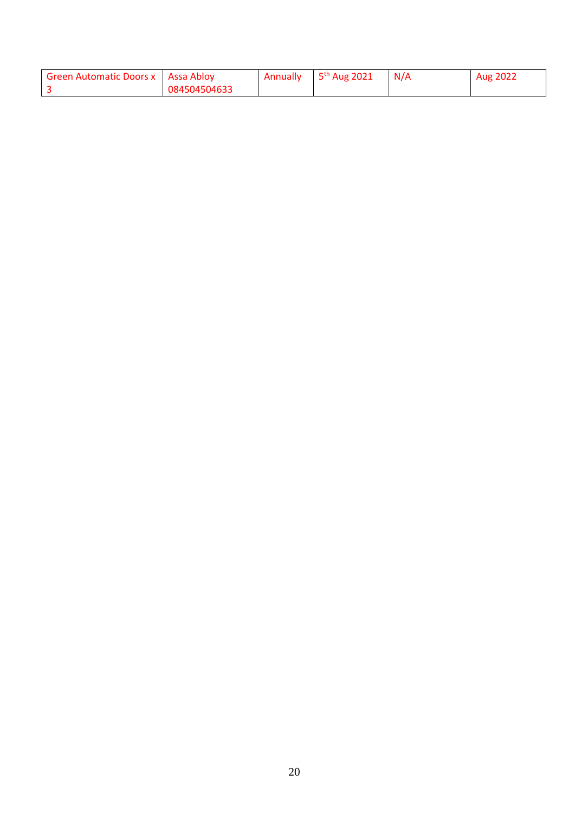| <b>Green Automatic Doors x</b> Assa Abloy |              | Annually | $\frac{1}{2}$ 5 <sup>th</sup> Aug 2021 | N/A | Aug 2022 |
|-------------------------------------------|--------------|----------|----------------------------------------|-----|----------|
|                                           | 084504504633 |          |                                        |     |          |